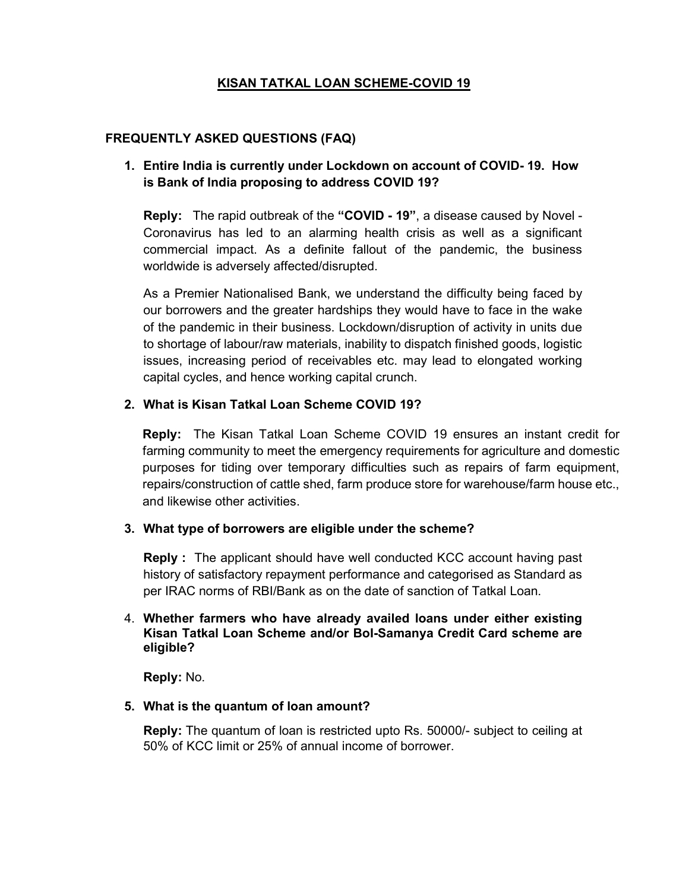# KISAN TATKAL LOAN SCHEME-COVID 19

#### FREQUENTLY ASKED QUESTIONS (FAQ)

## 1. Entire India is currently under Lockdown on account of COVID- 19. How is Bank of India proposing to address COVID 19?

Reply: The rapid outbreak of the "COVID - 19", a disease caused by Novel -Coronavirus has led to an alarming health crisis as well as a significant commercial impact. As a definite fallout of the pandemic, the business worldwide is adversely affected/disrupted.

As a Premier Nationalised Bank, we understand the difficulty being faced by our borrowers and the greater hardships they would have to face in the wake of the pandemic in their business. Lockdown/disruption of activity in units due to shortage of labour/raw materials, inability to dispatch finished goods, logistic issues, increasing period of receivables etc. may lead to elongated working capital cycles, and hence working capital crunch.

## 2. What is Kisan Tatkal Loan Scheme COVID 19?

Reply: The Kisan Tatkal Loan Scheme COVID 19 ensures an instant credit for farming community to meet the emergency requirements for agriculture and domestic purposes for tiding over temporary difficulties such as repairs of farm equipment, repairs/construction of cattle shed, farm produce store for warehouse/farm house etc., and likewise other activities.

#### 3. What type of borrowers are eligible under the scheme?

Reply : The applicant should have well conducted KCC account having past history of satisfactory repayment performance and categorised as Standard as per IRAC norms of RBI/Bank as on the date of sanction of Tatkal Loan.

#### 4. Whether farmers who have already availed loans under either existing Kisan Tatkal Loan Scheme and/or BoI-Samanya Credit Card scheme are eligible?

Reply: No.

#### 5. What is the quantum of loan amount?

Reply: The quantum of loan is restricted upto Rs. 50000/- subject to ceiling at 50% of KCC limit or 25% of annual income of borrower.